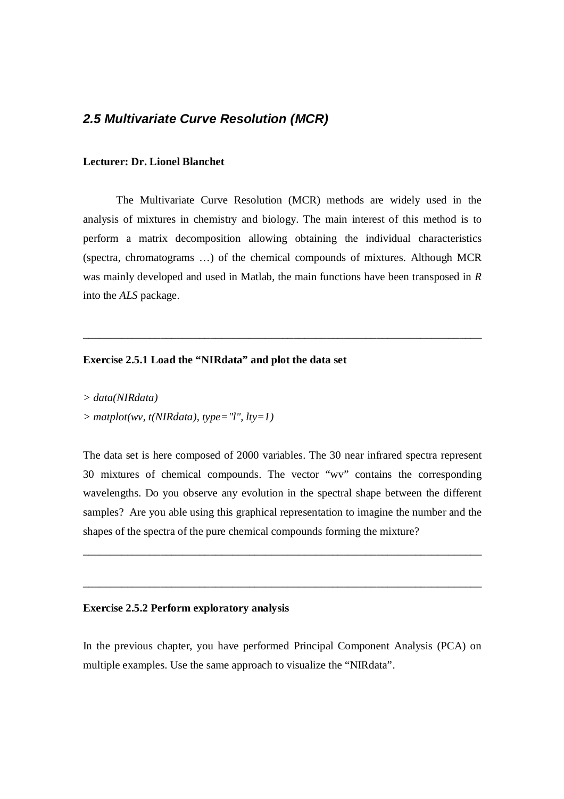# *2.5 Multivariate Curve Resolution (MCR)*

### **Lecturer: Dr. Lionel Blanchet**

The Multivariate Curve Resolution (MCR) methods are widely used in the analysis of mixtures in chemistry and biology. The main interest of this method is to perform a matrix decomposition allowing obtaining the individual characteristics (spectra, chromatograms …) of the chemical compounds of mixtures. Although MCR was mainly developed and used in Matlab, the main functions have been transposed in *R* into the *ALS* package.

\_\_\_\_\_\_\_\_\_\_\_\_\_\_\_\_\_\_\_\_\_\_\_\_\_\_\_\_\_\_\_\_\_\_\_\_\_\_\_\_\_\_\_\_\_\_\_\_\_\_\_\_\_\_\_\_\_\_\_\_\_\_\_\_\_\_\_\_\_\_\_\_

# **Exercise 2.5.1 Load the "NIRdata" and plot the data set**

*> data(NIRdata) > matplot(wv, t(NIRdata), type="l", lty=1)*

The data set is here composed of 2000 variables. The 30 near infrared spectra represent 30 mixtures of chemical compounds. The vector "wv" contains the corresponding wavelengths. Do you observe any evolution in the spectral shape between the different samples? Are you able using this graphical representation to imagine the number and the shapes of the spectra of the pure chemical compounds forming the mixture?

\_\_\_\_\_\_\_\_\_\_\_\_\_\_\_\_\_\_\_\_\_\_\_\_\_\_\_\_\_\_\_\_\_\_\_\_\_\_\_\_\_\_\_\_\_\_\_\_\_\_\_\_\_\_\_\_\_\_\_\_\_\_\_\_\_\_\_\_\_\_\_\_

\_\_\_\_\_\_\_\_\_\_\_\_\_\_\_\_\_\_\_\_\_\_\_\_\_\_\_\_\_\_\_\_\_\_\_\_\_\_\_\_\_\_\_\_\_\_\_\_\_\_\_\_\_\_\_\_\_\_\_\_\_\_\_\_\_\_\_\_\_\_\_\_

#### **Exercise 2.5.2 Perform exploratory analysis**

In the previous chapter, you have performed Principal Component Analysis (PCA) on multiple examples. Use the same approach to visualize the "NIRdata".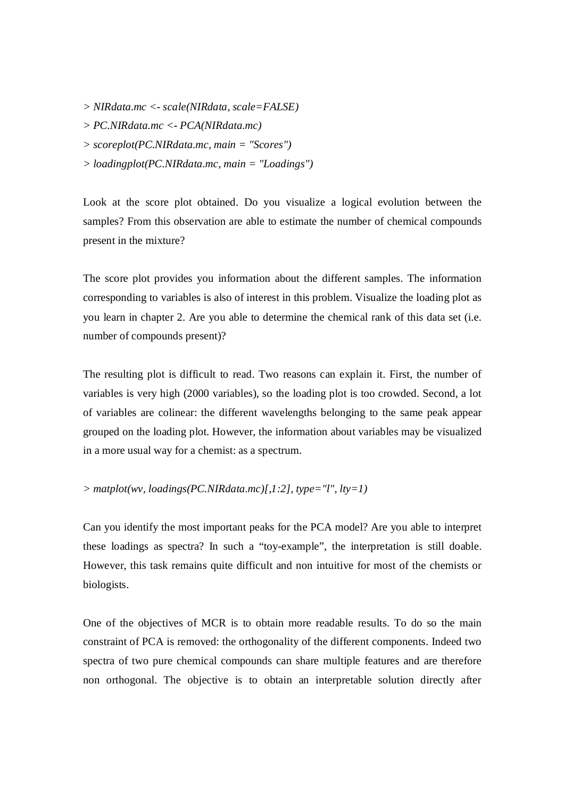*> NIRdata.mc <- scale(NIRdata, scale=FALSE)*

*> PC.NIRdata.mc <- PCA(NIRdata.mc)*

- *> scoreplot(PC.NIRdata.mc, main = "Scores")*
- *> loadingplot(PC.NIRdata.mc, main = "Loadings")*

Look at the score plot obtained. Do you visualize a logical evolution between the samples? From this observation are able to estimate the number of chemical compounds present in the mixture?

The score plot provides you information about the different samples. The information corresponding to variables is also of interest in this problem. Visualize the loading plot as you learn in chapter 2. Are you able to determine the chemical rank of this data set (i.e. number of compounds present)?

The resulting plot is difficult to read. Two reasons can explain it. First, the number of variables is very high (2000 variables), so the loading plot is too crowded. Second, a lot of variables are colinear: the different wavelengths belonging to the same peak appear grouped on the loading plot. However, the information about variables may be visualized in a more usual way for a chemist: as a spectrum.

 $>$  *matplot(wv, loadings(PC.NIRdata.mc)[,1:2], type="l", lty=1)* 

Can you identify the most important peaks for the PCA model? Are you able to interpret these loadings as spectra? In such a "toy-example", the interpretation is still doable. However, this task remains quite difficult and non intuitive for most of the chemists or biologists.

One of the objectives of MCR is to obtain more readable results. To do so the main constraint of PCA is removed: the orthogonality of the different components. Indeed two spectra of two pure chemical compounds can share multiple features and are therefore non orthogonal. The objective is to obtain an interpretable solution directly after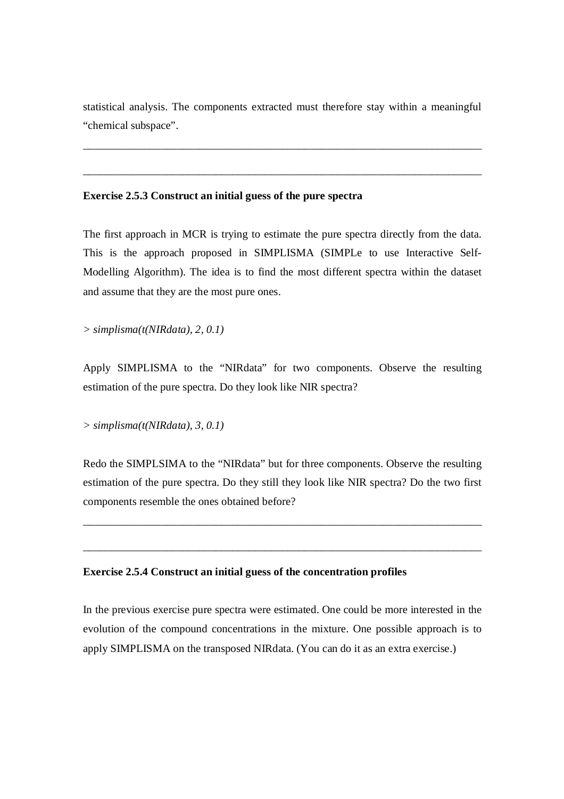statistical analysis. The components extracted must therefore stay within a meaningful "chemical subspace".

\_\_\_\_\_\_\_\_\_\_\_\_\_\_\_\_\_\_\_\_\_\_\_\_\_\_\_\_\_\_\_\_\_\_\_\_\_\_\_\_\_\_\_\_\_\_\_\_\_\_\_\_\_\_\_\_\_\_\_\_\_\_\_\_\_\_\_\_\_\_\_\_

\_\_\_\_\_\_\_\_\_\_\_\_\_\_\_\_\_\_\_\_\_\_\_\_\_\_\_\_\_\_\_\_\_\_\_\_\_\_\_\_\_\_\_\_\_\_\_\_\_\_\_\_\_\_\_\_\_\_\_\_\_\_\_\_\_\_\_\_\_\_\_\_

#### **Exercise 2.5.3 Construct an initial guess of the pure spectra**

The first approach in MCR is trying to estimate the pure spectra directly from the data. This is the approach proposed in SIMPLISMA (SIMPLe to use Interactive Self-Modelling Algorithm). The idea is to find the most different spectra within the dataset and assume that they are the most pure ones.

*> simplisma(t(NIRdata), 2, 0.1)*

Apply SIMPLISMA to the "NIRdata" for two components. Observe the resulting estimation of the pure spectra. Do they look like NIR spectra?

*> simplisma(t(NIRdata), 3, 0.1)*

Redo the SIMPLSIMA to the "NIRdata" but for three components. Observe the resulting estimation of the pure spectra. Do they still they look like NIR spectra? Do the two first components resemble the ones obtained before?

\_\_\_\_\_\_\_\_\_\_\_\_\_\_\_\_\_\_\_\_\_\_\_\_\_\_\_\_\_\_\_\_\_\_\_\_\_\_\_\_\_\_\_\_\_\_\_\_\_\_\_\_\_\_\_\_\_\_\_\_\_\_\_\_\_\_\_\_\_\_\_\_

\_\_\_\_\_\_\_\_\_\_\_\_\_\_\_\_\_\_\_\_\_\_\_\_\_\_\_\_\_\_\_\_\_\_\_\_\_\_\_\_\_\_\_\_\_\_\_\_\_\_\_\_\_\_\_\_\_\_\_\_\_\_\_\_\_\_\_\_\_\_\_\_

#### **Exercise 2.5.4 Construct an initial guess of the concentration profiles**

In the previous exercise pure spectra were estimated. One could be more interested in the evolution of the compound concentrations in the mixture. One possible approach is to apply SIMPLISMA on the transposed NIRdata. (You can do it as an extra exercise.)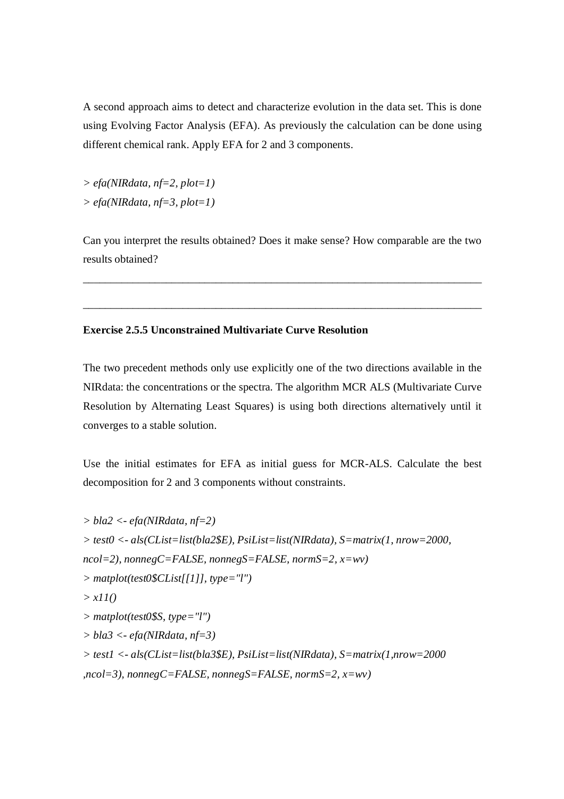A second approach aims to detect and characterize evolution in the data set. This is done using Evolving Factor Analysis (EFA). As previously the calculation can be done using different chemical rank. Apply EFA for 2 and 3 components.

*> efa(NIRdata, nf=2, plot=1) > efa(NIRdata, nf=3, plot=1)*

Can you interpret the results obtained? Does it make sense? How comparable are the two results obtained?

\_\_\_\_\_\_\_\_\_\_\_\_\_\_\_\_\_\_\_\_\_\_\_\_\_\_\_\_\_\_\_\_\_\_\_\_\_\_\_\_\_\_\_\_\_\_\_\_\_\_\_\_\_\_\_\_\_\_\_\_\_\_\_\_\_\_\_\_\_\_\_\_

\_\_\_\_\_\_\_\_\_\_\_\_\_\_\_\_\_\_\_\_\_\_\_\_\_\_\_\_\_\_\_\_\_\_\_\_\_\_\_\_\_\_\_\_\_\_\_\_\_\_\_\_\_\_\_\_\_\_\_\_\_\_\_\_\_\_\_\_\_\_\_\_

## **Exercise 2.5.5 Unconstrained Multivariate Curve Resolution**

The two precedent methods only use explicitly one of the two directions available in the NIRdata: the concentrations or the spectra. The algorithm MCR ALS (Multivariate Curve Resolution by Alternating Least Squares) is using both directions alternatively until it converges to a stable solution.

Use the initial estimates for EFA as initial guess for MCR-ALS. Calculate the best decomposition for 2 and 3 components without constraints.

```
> bla2 <- efa(NIRdata, nf=2)
> test0 <- als(CList=list(bla2$E), PsiList=list(NIRdata), S=matrix(1, nrow=2000,
ncol=2), nonnegC=FALSE, nonnegS=FALSE, normS=2, x=wv)
> matplot(test0$CList[[1]], type="l")
> x11()
> matplot(test0$S, type="l")
> bla3 <- efa(NIRdata, nf=3)
> test1 <- als(CList=list(bla3$E), PsiList=list(NIRdata), S=matrix(1,nrow=2000
,ncol=3), nonnegC=FALSE, nonnegS=FALSE, normS=2, x=wv)
```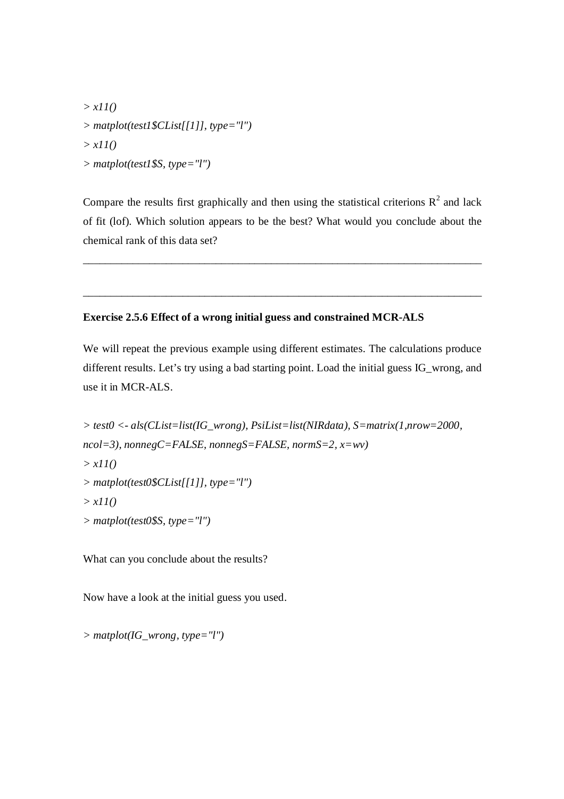*> x11() > matplot(test1\$CList[[1]], type="l") > x11() > matplot(test1\$S, type="l")*

Compare the results first graphically and then using the statistical criterions  $R^2$  and lack of fit (lof). Which solution appears to be the best? What would you conclude about the chemical rank of this data set?

\_\_\_\_\_\_\_\_\_\_\_\_\_\_\_\_\_\_\_\_\_\_\_\_\_\_\_\_\_\_\_\_\_\_\_\_\_\_\_\_\_\_\_\_\_\_\_\_\_\_\_\_\_\_\_\_\_\_\_\_\_\_\_\_\_\_\_\_\_\_\_\_

\_\_\_\_\_\_\_\_\_\_\_\_\_\_\_\_\_\_\_\_\_\_\_\_\_\_\_\_\_\_\_\_\_\_\_\_\_\_\_\_\_\_\_\_\_\_\_\_\_\_\_\_\_\_\_\_\_\_\_\_\_\_\_\_\_\_\_\_\_\_\_\_

## **Exercise 2.5.6 Effect of a wrong initial guess and constrained MCR-ALS**

We will repeat the previous example using different estimates. The calculations produce different results. Let's try using a bad starting point. Load the initial guess IG\_wrong, and use it in MCR-ALS.

```
> test0 <- als(CList=list(IG_wrong), PsiList=list(NIRdata), S=matrix(1,nrow=2000, 
ncol=3), nonnegC=FALSE, nonnegS=FALSE, normS=2, x=wv)
> x11()
> matplot(test0$CList[[1]], type="l")
> x11()
> matplot(test0$S, type="l")
```
What can you conclude about the results?

Now have a look at the initial guess you used.

*> matplot(IG\_wrong, type="l")*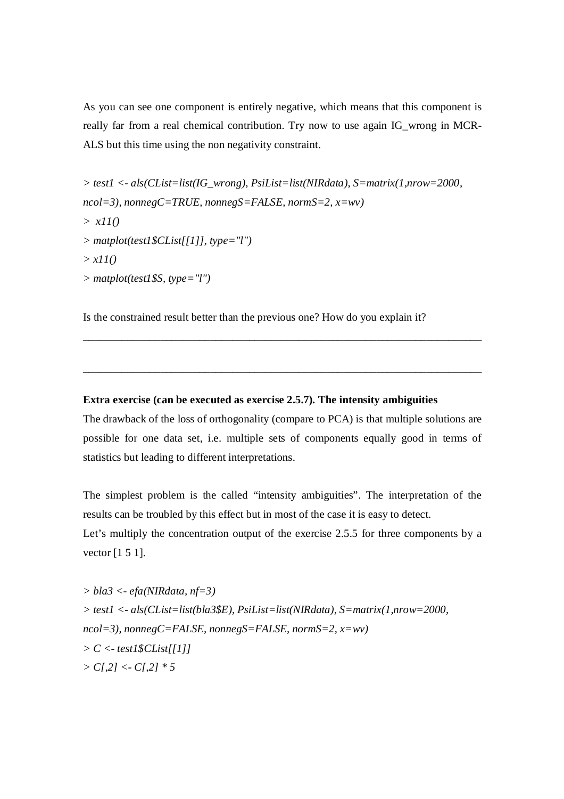As you can see one component is entirely negative, which means that this component is really far from a real chemical contribution. Try now to use again IG\_wrong in MCR-ALS but this time using the non negativity constraint.

*> test1 <- als(CList=list(IG\_wrong), PsiList=list(NIRdata), S=matrix(1,nrow=2000, ncol=3), nonnegC=TRUE, nonnegS=FALSE, normS=2, x=wv) > x11() > matplot(test1\$CList[[1]], type="l") > x11() > matplot(test1\$S, type="l")*

Is the constrained result better than the previous one? How do you explain it?

### **Extra exercise (can be executed as exercise 2.5.7). The intensity ambiguities**

The drawback of the loss of orthogonality (compare to PCA) is that multiple solutions are possible for one data set, i.e. multiple sets of components equally good in terms of statistics but leading to different interpretations.

\_\_\_\_\_\_\_\_\_\_\_\_\_\_\_\_\_\_\_\_\_\_\_\_\_\_\_\_\_\_\_\_\_\_\_\_\_\_\_\_\_\_\_\_\_\_\_\_\_\_\_\_\_\_\_\_\_\_\_\_\_\_\_\_\_\_\_\_\_\_\_\_

\_\_\_\_\_\_\_\_\_\_\_\_\_\_\_\_\_\_\_\_\_\_\_\_\_\_\_\_\_\_\_\_\_\_\_\_\_\_\_\_\_\_\_\_\_\_\_\_\_\_\_\_\_\_\_\_\_\_\_\_\_\_\_\_\_\_\_\_\_\_\_\_

The simplest problem is the called "intensity ambiguities". The interpretation of the results can be troubled by this effect but in most of the case it is easy to detect. Let's multiply the concentration output of the exercise 2.5.5 for three components by a vector [1 5 1].

*> bla3 <- efa(NIRdata, nf=3) > test1 <- als(CList=list(bla3\$E), PsiList=list(NIRdata), S=matrix(1,nrow=2000, ncol=3), nonnegC=FALSE, nonnegS=FALSE, normS=2, x=wv) > C <- test1\$CList[[1]] > C[,2] <- C[,2] \* 5*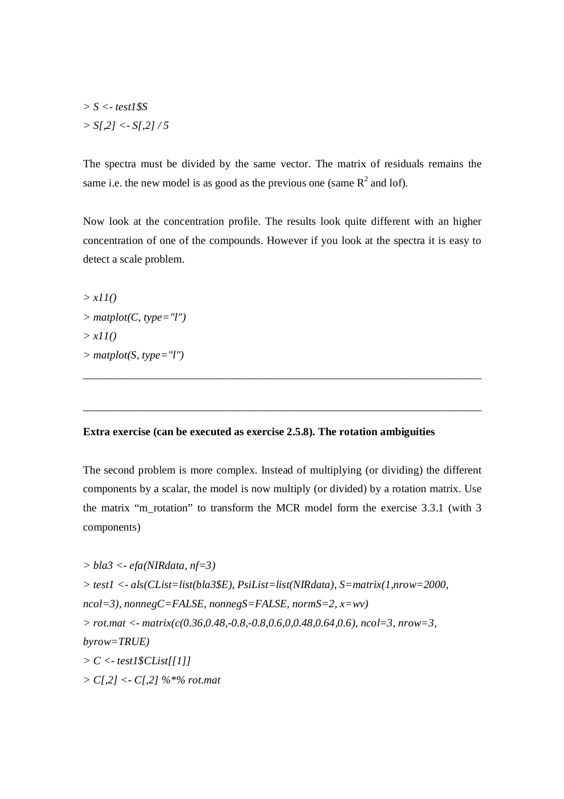*> S <- test1\$S > S[,2] <- S[,2] / 5*

The spectra must be divided by the same vector. The matrix of residuals remains the same i.e. the new model is as good as the previous one (same  $R^2$  and lof).

Now look at the concentration profile. The results look quite different with an higher concentration of one of the compounds. However if you look at the spectra it is easy to detect a scale problem.

*> x11()*  $>$  *matplot(C, type="l") > x11() > matplot(S, type="l")*

## **Extra exercise (can be executed as exercise 2.5.8). The rotation ambiguities**

The second problem is more complex. Instead of multiplying (or dividing) the different components by a scalar, the model is now multiply (or divided) by a rotation matrix. Use the matrix "m\_rotation" to transform the MCR model form the exercise 3.3.1 (with 3 components)

\_\_\_\_\_\_\_\_\_\_\_\_\_\_\_\_\_\_\_\_\_\_\_\_\_\_\_\_\_\_\_\_\_\_\_\_\_\_\_\_\_\_\_\_\_\_\_\_\_\_\_\_\_\_\_\_\_\_\_\_\_\_\_\_\_\_\_\_\_\_\_\_

\_\_\_\_\_\_\_\_\_\_\_\_\_\_\_\_\_\_\_\_\_\_\_\_\_\_\_\_\_\_\_\_\_\_\_\_\_\_\_\_\_\_\_\_\_\_\_\_\_\_\_\_\_\_\_\_\_\_\_\_\_\_\_\_\_\_\_\_\_\_\_\_

```
> bla3 <- efa(NIRdata, nf=3)
> test1 <- als(CList=list(bla3$E), PsiList=list(NIRdata), S=matrix(1,nrow=2000, 
ncol=3), nonnegC=FALSE, nonnegS=FALSE, normS=2, x=wv)
> rot.mat <- matrix(c(0.36,0.48,-0.8,-0.8,0.6,0,0.48,0.64,0.6), ncol=3, nrow=3, 
byrow=TRUE)
> C <- test1$CList[[1]]
> C[,2] <- C[,2] %*% rot.mat
```